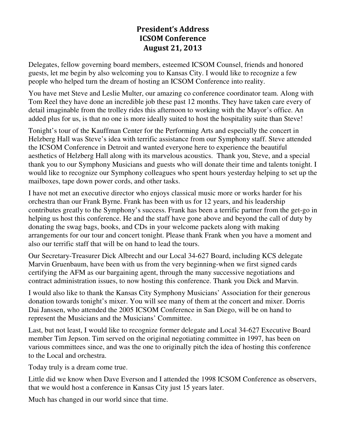## President's Address ICSOM Conference August 21, 2013

Delegates, fellow governing board members, esteemed ICSOM Counsel, friends and honored guests, let me begin by also welcoming you to Kansas City. I would like to recognize a few people who helped turn the dream of hosting an ICSOM Conference into reality.

You have met Steve and Leslie Multer, our amazing co conference coordinator team. Along with Tom Reel they have done an incredible job these past 12 months. They have taken care every of detail imaginable from the trolley rides this afternoon to working with the Mayor's office. An added plus for us, is that no one is more ideally suited to host the hospitality suite than Steve!

Tonight's tour of the Kauffman Center for the Performing Arts and especially the concert in Helzberg Hall was Steve's idea with terrific assistance from our Symphony staff. Steve attended the ICSOM Conference in Detroit and wanted everyone here to experience the beautiful aesthetics of Helzberg Hall along with its marvelous acoustics. Thank you, Steve, and a special thank you to our Symphony Musicians and guests who will donate their time and talents tonight. I would like to recognize our Symphony colleagues who spent hours yesterday helping to set up the mailboxes, tape down power cords, and other tasks.

I have not met an executive director who enjoys classical music more or works harder for his orchestra than our Frank Byrne. Frank has been with us for 12 years, and his leadership contributes greatly to the Symphony's success. Frank has been a terrific partner from the get-go in helping us host this conference. He and the staff have gone above and beyond the call of duty by donating the swag bags, books, and CDs in your welcome packets along with making arrangements for our tour and concert tonight. Please thank Frank when you have a moment and also our terrific staff that will be on hand to lead the tours.

Our Secretary-Treasurer Dick Albrecht and our Local 34-627 Board, including KCS delegate Marvin Gruenbaum, have been with us from the very beginning-when we first signed cards certifying the AFM as our bargaining agent, through the many successive negotiations and contract administration issues, to now hosting this conference. Thank you Dick and Marvin.

I would also like to thank the Kansas City Symphony Musicians' Association for their generous donation towards tonight's mixer. You will see many of them at the concert and mixer. Dorris Dai Janssen, who attended the 2005 ICSOM Conference in San Diego, will be on hand to represent the Musicians and the Musicians' Committee.

Last, but not least, I would like to recognize former delegate and Local 34-627 Executive Board member Tim Jepson. Tim served on the original negotiating committee in 1997, has been on various committees since, and was the one to originally pitch the idea of hosting this conference to the Local and orchestra.

Today truly is a dream come true.

Little did we know when Dave Everson and I attended the 1998 ICSOM Conference as observers, that we would host a conference in Kansas City just 15 years later.

Much has changed in our world since that time.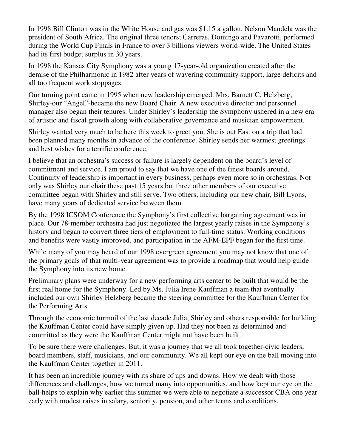In 1998 Bill Clinton was in the White House and gas was \$1.15 a gallon. Nelson Mandela was the president of South Africa. The original three tenors; Carreras, Domingo and Pavarotti, performed during the World Cup Finals in France to over 3 billions viewers world-wide. The United States had its first budget surplus in 30 years.

In 1998 the Kansas City Symphony was a young 17-year-old organization created after the demise of the Philharmonic in 1982 after years of wavering community support, large deficits and all too frequent work stoppages.

Our turning point came in 1995 when new leadership emerged. Mrs. Barnett C. Helzberg, Shirley-our "Angel"-became the new Board Chair. A new executive director and personnel manager also began their tenures. Under Shirley's leadership the Symphony ushered in a new era of artistic and fiscal growth along with collaborative governance and musician empowerment.

Shirley wanted very much to be here this week to greet you. She is out East on a trip that had been planned many months in advance of the conference. Shirley sends her warmest greetings and best wishes for a terrific conference.

I believe that an orchestra's success or failure is largely dependent on the board's level of commitment and service. I am proud to say that we have one of the finest boards around. Continuity of leadership is important in every business, perhaps even more so in orchestras. Not only was Shirley our chair these past 15 years but three other members of our executive committee began with Shirley and still serve. Two others, including our new chair, Bill Lyons, have many years of dedicated service between them.

By the 1998 ICSOM Conference the Symphony's first collective bargaining agreement was in place. Our 78-member orchestra had just negotiated the largest yearly raises in the Symphony's history and began to convert three tiers of employment to full-time status. Working conditions and benefits were vastly improved, and participation in the AFM-EPF began for the first time.

While many of you may heard of our 1998 evergreen agreement you may not know that one of the primary goals of that multi-year agreement was to provide a roadmap that would help guide the Symphony into its new home.

Preliminary plans were underway for a new performing arts center to be built that would be the first real home for the Symphony. Led by Ms. Julia Irene Kauffman a team that eventually included our own Shirley Helzberg became the steering committee for the Kauffman Center for the Performing Arts.

Through the economic turmoil of the last decade Julia, Shirley and others responsible for building the Kauffman Center could have simply given up. Had they not been as determined and committed as they were the Kauffman Center might not have been built.

To be sure there were challenges. But, it was a journey that we all took together-civic leaders, board members, staff, musicians, and our community. We all kept our eye on the ball moving into the Kauffman Center together in 2011.

It has been an incredible journey with its share of ups and downs. How we dealt with those differences and challenges, how we turned many into opportunities, and how kept our eye on the ball-helps to explain why earlier this summer we were able to negotiate a successor CBA one year early with modest raises in salary, seniority, pension, and other terms and conditions.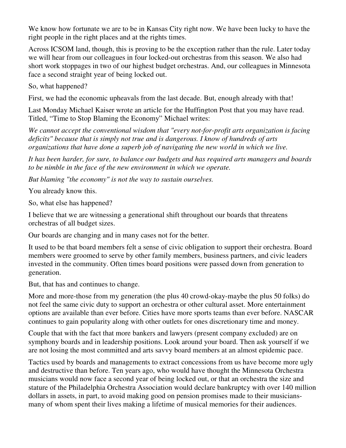We know how fortunate we are to be in Kansas City right now. We have been lucky to have the right people in the right places and at the rights times.

Across ICSOM land, though, this is proving to be the exception rather than the rule. Later today we will hear from our colleagues in four locked-out orchestras from this season. We also had short work stoppages in two of our highest budget orchestras. And, our colleagues in Minnesota face a second straight year of being locked out.

So, what happened?

First, we had the economic upheavals from the last decade. But, enough already with that!

Last Monday Michael Kaiser wrote an article for the Huffington Post that you may have read. Titled, "Time to Stop Blaming the Economy" Michael writes:

*We cannot accept the conventional wisdom that "every not-for-profit arts organization is facing deficits" because that is simply not true and is dangerous. I know of hundreds of arts organizations that have done a superb job of navigating the new world in which we live.* 

*It has been harder, for sure, to balance our budgets and has required arts managers and boards to be nimble in the face of the new environment in which we operate.* 

*But blaming "the economy" is not the way to sustain ourselves.* 

You already know this.

So, what else has happened?

I believe that we are witnessing a generational shift throughout our boards that threatens orchestras of all budget sizes.

Our boards are changing and in many cases not for the better.

It used to be that board members felt a sense of civic obligation to support their orchestra. Board members were groomed to serve by other family members, business partners, and civic leaders invested in the community. Often times board positions were passed down from generation to generation.

But, that has and continues to change.

More and more-those from my generation (the plus 40 crowd-okay-maybe the plus 50 folks) do not feel the same civic duty to support an orchestra or other cultural asset. More entertainment options are available than ever before. Cities have more sports teams than ever before. NASCAR continues to gain popularity along with other outlets for ones discretionary time and money.

Couple that with the fact that more bankers and lawyers (present company excluded) are on symphony boards and in leadership positions. Look around your board. Then ask yourself if we are not losing the most committed and arts savvy board members at an almost epidemic pace.

Tactics used by boards and managements to extract concessions from us have become more ugly and destructive than before. Ten years ago, who would have thought the Minnesota Orchestra musicians would now face a second year of being locked out, or that an orchestra the size and stature of the Philadelphia Orchestra Association would declare bankruptcy with over 140 million dollars in assets, in part, to avoid making good on pension promises made to their musiciansmany of whom spent their lives making a lifetime of musical memories for their audiences.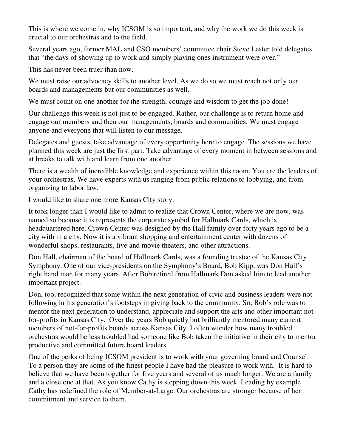This is where we come in, why ICSOM is so important, and why the work we do this week is crucial to our orchestras and to the field.

Several years ago, former MAL and CSO members' committee chair Steve Lester told delegates that "the days of showing up to work and simply playing ones instrument were over."

This has never been truer than now.

We must raise our advocacy skills to another level. As we do so we must reach not only our boards and managements but our communities as well.

We must count on one another for the strength, courage and wisdom to get the job done!

Our challenge this week is not just to be engaged. Rather, our challenge is to return home and engage our members and then our managements, boards and communities. We must engage anyone and everyone that will listen to our message.

Delegates and guests, take advantage of every opportunity here to engage. The sessions we have planned this week are just the first part. Take advantage of every moment in between sessions and at breaks to talk with and learn from one another.

There is a wealth of incredible knowledge and experience within this room. You are the leaders of your orchestras. We have experts with us ranging from public relations to lobbying, and from organizing to labor law.

I would like to share one more Kansas City story.

It took longer than I would like to admit to realize that Crown Center, where we are now, was named so because it is represents the corporate symbol for Hallmark Cards, which is headquartered here. Crown Center was designed by the Hall family over forty years ago to be a city with in a city. Now it is a vibrant shopping and entertainment center with dozens of wonderful shops, restaurants, live and movie theaters, and other attractions.

Don Hall, chairman of the board of Hallmark Cards, was a founding trustee of the Kansas City Symphony. One of our vice-presidents on the Symphony's Board, Bob Kipp, was Don Hall's right hand man for many years. After Bob retired from Hallmark Don asked him to lead another important project.

Don, too, recognized that some within the next generation of civic and business leaders were not following in his generation's footsteps in giving back to the community. So, Bob's role was to mentor the next generation to understand, appreciate and support the arts and other important notfor-profits in Kansas City. Over the years Bob quietly but brilliantly mentored many current members of not-for-profits boards across Kansas City. I often wonder how many troubled orchestras would be less troubled had someone like Bob taken the initiative in their city to mentor productive and committed future board leaders.

One of the perks of being ICSOM president is to work with your governing board and Counsel. To a person they are some of the finest people I have had the pleasure to work with. It is hard to believe that we have been together for five years and several of us much longer. We are a family and a close one at that. As you know Cathy is stepping down this week. Leading by example Cathy has redefined the role of Member-at-Large. Our orchestras are stronger because of her commitment and service to them.